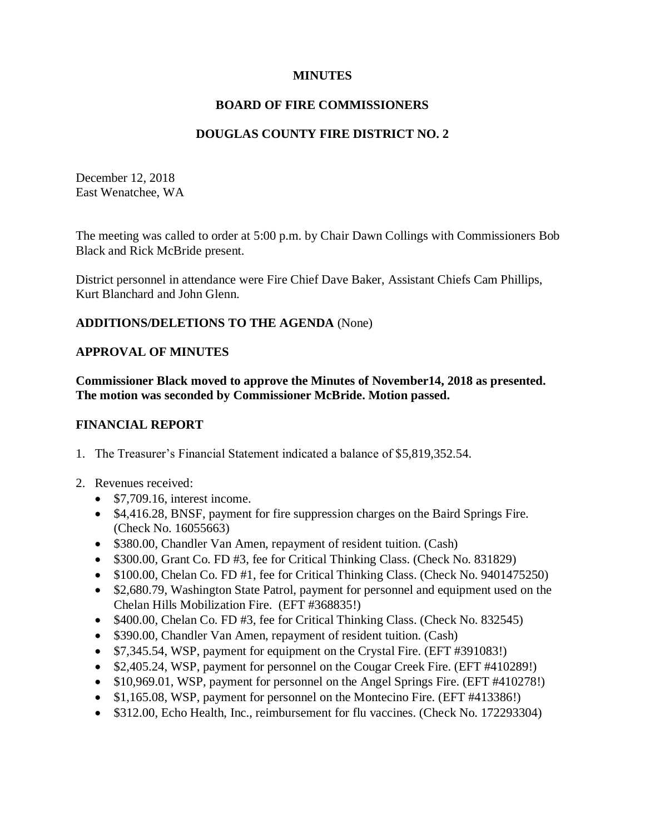# **MINUTES**

### **BOARD OF FIRE COMMISSIONERS**

## **DOUGLAS COUNTY FIRE DISTRICT NO. 2**

December 12, 2018 East Wenatchee, WA

The meeting was called to order at 5:00 p.m. by Chair Dawn Collings with Commissioners Bob Black and Rick McBride present.

District personnel in attendance were Fire Chief Dave Baker, Assistant Chiefs Cam Phillips, Kurt Blanchard and John Glenn.

### **ADDITIONS/DELETIONS TO THE AGENDA** (None)

#### **APPROVAL OF MINUTES**

**Commissioner Black moved to approve the Minutes of November14, 2018 as presented. The motion was seconded by Commissioner McBride. Motion passed.**

#### **FINANCIAL REPORT**

- 1. The Treasurer's Financial Statement indicated a balance of \$5,819,352.54.
- 2. Revenues received:
	- \$7,709.16, interest income.
	- \$4,416.28, BNSF, payment for fire suppression charges on the Baird Springs Fire. (Check No. 16055663)
	- \$380.00, Chandler Van Amen, repayment of resident tuition. (Cash)
	- \$300.00, Grant Co. FD #3, fee for Critical Thinking Class. (Check No. 831829)
	- \$100.00, Chelan Co. FD #1, fee for Critical Thinking Class. (Check No. 9401475250)
	- \$2,680.79, Washington State Patrol, payment for personnel and equipment used on the Chelan Hills Mobilization Fire. (EFT #368835!)
	- \$400.00, Chelan Co. FD #3, fee for Critical Thinking Class. (Check No. 832545)
	- \$390.00, Chandler Van Amen, repayment of resident tuition. (Cash)
	- \$7,345.54, WSP, payment for equipment on the Crystal Fire. (EFT #391083!)
	- \$2,405.24, WSP, payment for personnel on the Cougar Creek Fire. (EFT #410289!)
	- \$10,969.01, WSP, payment for personnel on the Angel Springs Fire. (EFT #410278!)
	- \$1,165.08, WSP, payment for personnel on the Montecino Fire. (EFT #413386!)
	- \$312.00, Echo Health, Inc., reimbursement for flu vaccines. (Check No. 172293304)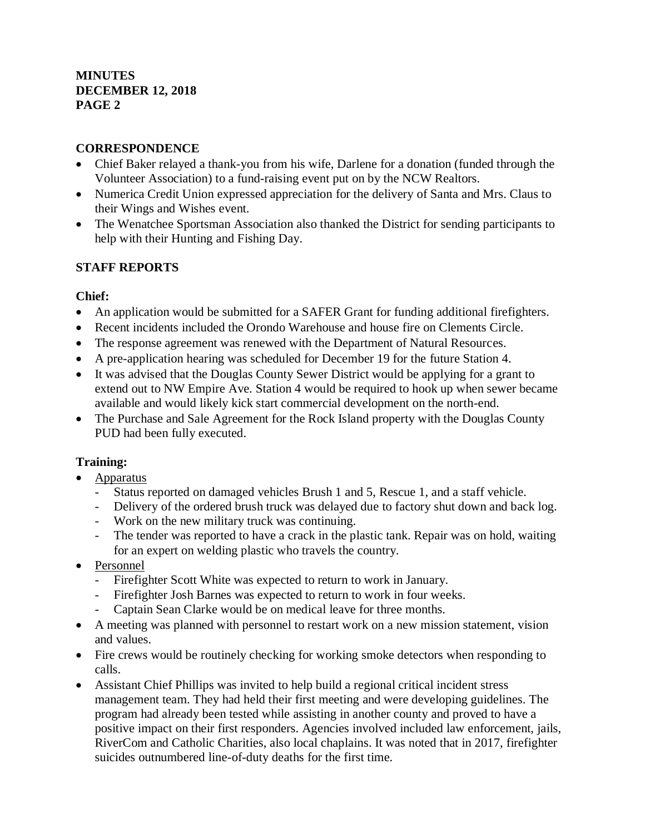## **CORRESPONDENCE**

- Chief Baker relayed a thank-you from his wife, Darlene for a donation (funded through the Volunteer Association) to a fund-raising event put on by the NCW Realtors.
- Numerica Credit Union expressed appreciation for the delivery of Santa and Mrs. Claus to their Wings and Wishes event.
- The Wenatchee Sportsman Association also thanked the District for sending participants to help with their Hunting and Fishing Day.

# **STAFF REPORTS**

# **Chief:**

- An application would be submitted for a SAFER Grant for funding additional firefighters.
- Recent incidents included the Orondo Warehouse and house fire on Clements Circle.
- The response agreement was renewed with the Department of Natural Resources.
- A pre-application hearing was scheduled for December 19 for the future Station 4.
- It was advised that the Douglas County Sewer District would be applying for a grant to extend out to NW Empire Ave. Station 4 would be required to hook up when sewer became available and would likely kick start commercial development on the north-end.
- The Purchase and Sale Agreement for the Rock Island property with the Douglas County PUD had been fully executed.

# **Training:**

- Apparatus
	- Status reported on damaged vehicles Brush 1 and 5, Rescue 1, and a staff vehicle.
	- Delivery of the ordered brush truck was delayed due to factory shut down and back log.
	- Work on the new military truck was continuing.
	- The tender was reported to have a crack in the plastic tank. Repair was on hold, waiting for an expert on welding plastic who travels the country.
- Personnel
	- Firefighter Scott White was expected to return to work in January.
	- Firefighter Josh Barnes was expected to return to work in four weeks.
	- Captain Sean Clarke would be on medical leave for three months.
- A meeting was planned with personnel to restart work on a new mission statement, vision and values.
- Fire crews would be routinely checking for working smoke detectors when responding to calls.
- Assistant Chief Phillips was invited to help build a regional critical incident stress management team. They had held their first meeting and were developing guidelines. The program had already been tested while assisting in another county and proved to have a positive impact on their first responders. Agencies involved included law enforcement, jails, RiverCom and Catholic Charities, also local chaplains. It was noted that in 2017, firefighter suicides outnumbered line-of-duty deaths for the first time.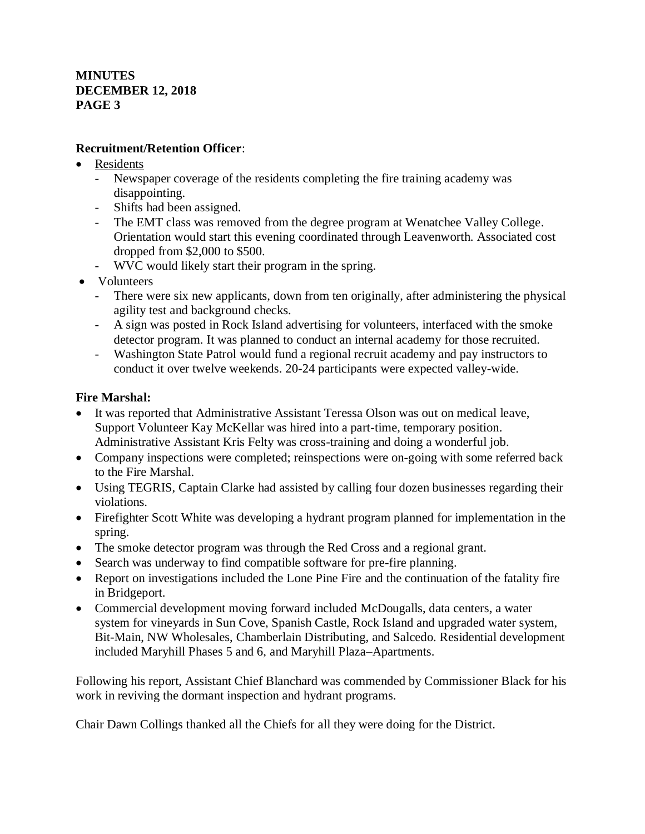# **Recruitment/Retention Officer**:

- **Residents** 
	- Newspaper coverage of the residents completing the fire training academy was disappointing.
	- Shifts had been assigned.
	- The EMT class was removed from the degree program at Wenatchee Valley College. Orientation would start this evening coordinated through Leavenworth. Associated cost dropped from \$2,000 to \$500.
	- WVC would likely start their program in the spring.
- Volunteers
	- There were six new applicants, down from ten originally, after administering the physical agility test and background checks.
	- A sign was posted in Rock Island advertising for volunteers, interfaced with the smoke detector program. It was planned to conduct an internal academy for those recruited.
	- Washington State Patrol would fund a regional recruit academy and pay instructors to conduct it over twelve weekends. 20-24 participants were expected valley-wide.

# **Fire Marshal:**

- It was reported that Administrative Assistant Teressa Olson was out on medical leave, Support Volunteer Kay McKellar was hired into a part-time, temporary position. Administrative Assistant Kris Felty was cross-training and doing a wonderful job.
- Company inspections were completed; reinspections were on-going with some referred back to the Fire Marshal.
- Using TEGRIS, Captain Clarke had assisted by calling four dozen businesses regarding their violations.
- Firefighter Scott White was developing a hydrant program planned for implementation in the spring.
- The smoke detector program was through the Red Cross and a regional grant.
- Search was underway to find compatible software for pre-fire planning.
- Report on investigations included the Lone Pine Fire and the continuation of the fatality fire in Bridgeport.
- Commercial development moving forward included McDougalls, data centers, a water system for vineyards in Sun Cove, Spanish Castle, Rock Island and upgraded water system, Bit-Main, NW Wholesales, Chamberlain Distributing, and Salcedo. Residential development included Maryhill Phases 5 and 6, and Maryhill Plaza–Apartments.

Following his report, Assistant Chief Blanchard was commended by Commissioner Black for his work in reviving the dormant inspection and hydrant programs.

Chair Dawn Collings thanked all the Chiefs for all they were doing for the District.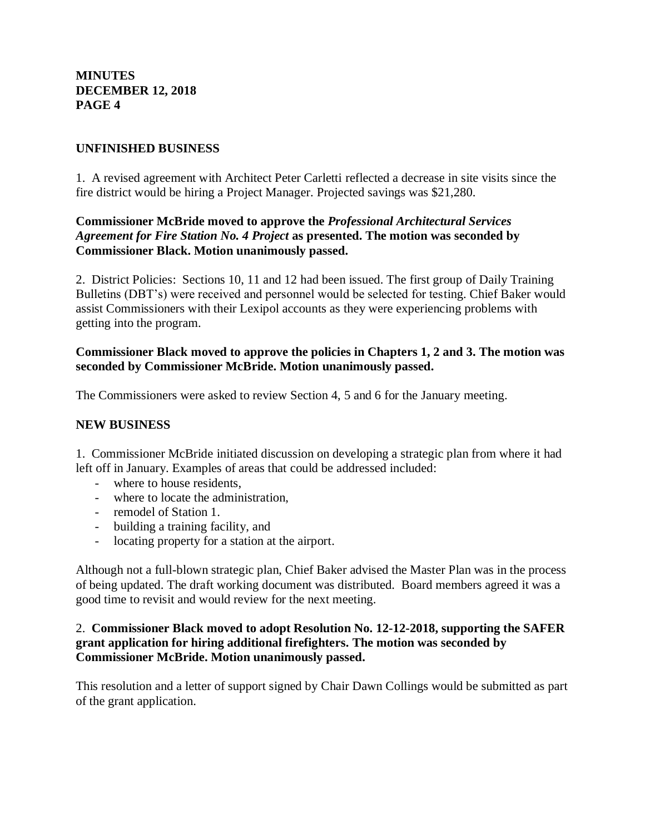### **UNFINISHED BUSINESS**

1. A revised agreement with Architect Peter Carletti reflected a decrease in site visits since the fire district would be hiring a Project Manager. Projected savings was \$21,280.

### **Commissioner McBride moved to approve the** *Professional Architectural Services Agreement for Fire Station No. 4 Project* **as presented. The motion was seconded by Commissioner Black. Motion unanimously passed.**

2. District Policies: Sections 10, 11 and 12 had been issued. The first group of Daily Training Bulletins (DBT's) were received and personnel would be selected for testing. Chief Baker would assist Commissioners with their Lexipol accounts as they were experiencing problems with getting into the program.

#### **Commissioner Black moved to approve the policies in Chapters 1, 2 and 3. The motion was seconded by Commissioner McBride. Motion unanimously passed.**

The Commissioners were asked to review Section 4, 5 and 6 for the January meeting.

#### **NEW BUSINESS**

1. Commissioner McBride initiated discussion on developing a strategic plan from where it had left off in January. Examples of areas that could be addressed included:

- where to house residents,
- where to locate the administration,
- remodel of Station 1.
- building a training facility, and
- locating property for a station at the airport.

Although not a full-blown strategic plan, Chief Baker advised the Master Plan was in the process of being updated. The draft working document was distributed. Board members agreed it was a good time to revisit and would review for the next meeting.

#### 2. **Commissioner Black moved to adopt Resolution No. 12-12-2018, supporting the SAFER grant application for hiring additional firefighters. The motion was seconded by Commissioner McBride. Motion unanimously passed.**

This resolution and a letter of support signed by Chair Dawn Collings would be submitted as part of the grant application.